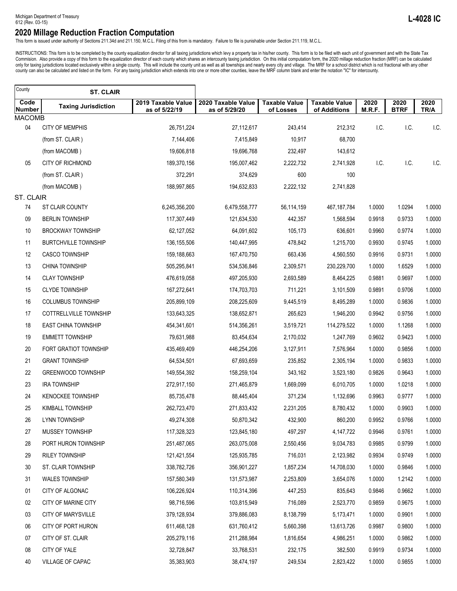This form is issued under authority of Sections 211.34d and 211.150, M.C.L. Filing of this from is mandatory. Failure to file is punishable under Section 211.119, M.C.L.

INSTRUCTIONS: This form is to be completed by the county equalization director for all taxing jurisdictions which levy a property tax in his/her county. This form is to be filed with each unit of government and with the St county can also be calculated and listed on the form. For any taxing jurisdiction which extends into one or more other counties, leave the MRF column blank and enter the notation "IC" for intercounty.

| County                | <b>ST. CLAIR</b>            |                                     |                                     |                                   |                                      |                |                     |              |
|-----------------------|-----------------------------|-------------------------------------|-------------------------------------|-----------------------------------|--------------------------------------|----------------|---------------------|--------------|
| Code<br><b>Number</b> | <b>Taxing Jurisdiction</b>  | 2019 Taxable Value<br>as of 5/22/19 | 2020 Taxable Value<br>as of 5/29/20 | <b>Taxable Value</b><br>of Losses | <b>Taxable Value</b><br>of Additions | 2020<br>M.R.F. | 2020<br><b>BTRF</b> | 2020<br>TR/A |
| <b>MACOMB</b>         |                             |                                     |                                     |                                   |                                      |                |                     |              |
| 04                    | CITY OF MEMPHIS             | 26,751,224                          | 27,112,617                          | 243,414                           | 212,312                              | I.C.           | I.C.                | I.C.         |
|                       | (from ST. CLAIR)            | 7,144,406                           | 7,415,849                           | 10,917                            | 68,700                               |                |                     |              |
|                       | (from MACOMB)               | 19,606,818                          | 19,696,768                          | 232,497                           | 143,612                              |                |                     |              |
| 05                    | <b>CITY OF RICHMOND</b>     | 189,370,156                         | 195,007,462                         | 2,222,732                         | 2,741,928                            | I.C.           | I.C.                | I.C.         |
|                       | (from ST. CLAIR)            | 372,291                             | 374,629                             | 600                               | 100                                  |                |                     |              |
|                       | (from MACOMB)               | 188,997,865                         | 194,632,833                         | 2,222,132                         | 2,741,828                            |                |                     |              |
| ST. CLAIR             |                             |                                     |                                     |                                   |                                      |                |                     |              |
| 74                    | ST CLAIR COUNTY             | 6,245,356,200                       | 6,479,558,777                       | 56,114,159                        | 467, 187, 784                        | 1.0000         | 1.0294              | 1.0000       |
| 09                    | <b>BERLIN TOWNSHIP</b>      | 117,307,449                         | 121,634,530                         | 442,357                           | 1,568,594                            | 0.9918         | 0.9733              | 1.0000       |
| 10                    | <b>BROCKWAY TOWNSHIP</b>    | 62,127,052                          | 64,091,602                          | 105,173                           | 636,601                              | 0.9960         | 0.9774              | 1.0000       |
| 11                    | <b>BURTCHVILLE TOWNSHIP</b> | 136, 155, 506                       | 140,447,995                         | 478,842                           | 1,215,700                            | 0.9930         | 0.9745              | 1.0000       |
| 12                    | <b>CASCO TOWNSHIP</b>       | 159,188,663                         | 167,470,750                         | 663,436                           | 4,560,550                            | 0.9916         | 0.9731              | 1.0000       |
| 13                    | CHINA TOWNSHIP              | 505,295,841                         | 534,536,846                         | 2,309,571                         | 230,229,700                          | 1.0000         | 1.6529              | 1.0000       |
| 14                    | <b>CLAY TOWNSHIP</b>        | 476,619,058                         | 497,205,930                         | 2,693,589                         | 8,464,225                            | 0.9881         | 0.9697              | 1.0000       |
| 15                    | <b>CLYDE TOWNSHIP</b>       | 167,272,641                         | 174,703,703                         | 711,221                           | 3,101,509                            | 0.9891         | 0.9706              | 1.0000       |
| 16                    | <b>COLUMBUS TOWNSHIP</b>    | 205,899,109                         | 208,225,609                         | 9,445,519                         | 8,495,289                            | 1.0000         | 0.9836              | 1.0000       |
| 17                    | COTTRELLVILLE TOWNSHIP      | 133,643,325                         | 138,652,871                         | 265,623                           | 1,946,200                            | 0.9942         | 0.9756              | 1.0000       |
| 18                    | <b>EAST CHINA TOWNSHIP</b>  | 454,341,601                         | 514,356,261                         | 3,519,721                         | 114,279,522                          | 1.0000         | 1.1268              | 1.0000       |
| 19                    | <b>EMMETT TOWNSHIP</b>      | 79,631,988                          | 83,454,634                          | 2,170,032                         | 1,247,769                            | 0.9602         | 0.9423              | 1.0000       |
| 20                    | FORT GRATIOT TOWNSHIP       | 435,469,409                         | 446,254,206                         | 3,127,911                         | 7,576,964                            | 1.0000         | 0.9856              | 1.0000       |
| 21                    | <b>GRANT TOWNSHIP</b>       | 64,534,501                          | 67,693,659                          | 235,852                           | 2,305,194                            | 1.0000         | 0.9833              | 1.0000       |
| 22                    | GREENWOOD TOWNSHIP          | 149,554,392                         | 158,259,104                         | 343,162                           | 3,523,180                            | 0.9826         | 0.9643              | 1.0000       |
| 23                    | <b>IRA TOWNSHIP</b>         | 272,917,150                         | 271,465,879                         | 1,669,099                         | 6,010,705                            | 1.0000         | 1.0218              | 1.0000       |
| 24                    | <b>KENOCKEE TOWNSHIP</b>    | 85,735,478                          | 88,445,404                          | 371,234                           | 1,132,696                            | 0.9963         | 0.9777              | 1.0000       |
| 25                    | <b>KIMBALL TOWNSHIP</b>     | 262,723,470                         | 271,833,432                         | 2,231,205                         | 8,780,432                            | 1.0000         | 0.9903              | 1.0000       |
| 26                    | LYNN TOWNSHIP               | 49,274,308                          | 50,870,342                          | 432,900                           | 860,200                              | 0.9952         | 0.9766              | 1.0000       |
| 27                    | MUSSEY TOWNSHIP             | 117,328,323                         | 123,845,180                         | 497,297                           | 4,147,722                            | 0.9946         | 0.9761              | 1.0000       |
| 28                    | PORT HURON TOWNSHIP         | 251,487,065                         | 263,075,008                         | 2,550,456                         | 9,034,783                            | 0.9985         | 0.9799              | 1.0000       |
| 29                    | <b>RILEY TOWNSHIP</b>       | 121,421,554                         | 125,935,785                         | 716,031                           | 2,123,982                            | 0.9934         | 0.9749              | 1.0000       |
| 30                    | ST. CLAIR TOWNSHIP          | 338,782,726                         | 356,901,227                         | 1,857,234                         | 14,708,030                           | 1.0000         | 0.9846              | 1.0000       |
| 31                    | <b>WALES TOWNSHIP</b>       | 157,580,349                         | 131,573,987                         | 2,253,809                         | 3,654,076                            | 1.0000         | 1.2142              | 1.0000       |
| 01                    | CITY OF ALGONAC             | 106,226,924                         | 110,314,396                         | 447,253                           | 835,643                              | 0.9846         | 0.9662              | 1.0000       |
| 02                    | CITY OF MARINE CITY         | 98,716,596                          | 103,815,949                         | 716,089                           | 2,523,770                            | 0.9859         | 0.9675              | 1.0000       |
| 03                    | CITY OF MARYSVILLE          | 379,128,934                         | 379,886,083                         | 8,138,799                         | 5,173,471                            | 1.0000         | 0.9901              | 1.0000       |
| 06                    | CITY OF PORT HURON          | 611,468,128                         | 631,760,412                         | 5,660,398                         | 13,613,726                           | 0.9987         | 0.9800              | 1.0000       |
| 07                    | CITY OF ST. CLAIR           | 205,279,116                         | 211,288,984                         | 1,816,654                         | 4,986,251                            | 1.0000         | 0.9862              | 1.0000       |
| 08                    | CITY OF YALE                | 32,728,847                          | 33,768,531                          | 232,175                           | 382,500                              | 0.9919         | 0.9734              | 1.0000       |
| 40                    | VILLAGE OF CAPAC            | 35,383,903                          | 38,474,197                          | 249,534                           | 2,823,422                            | 1.0000         | 0.9855              | 1.0000       |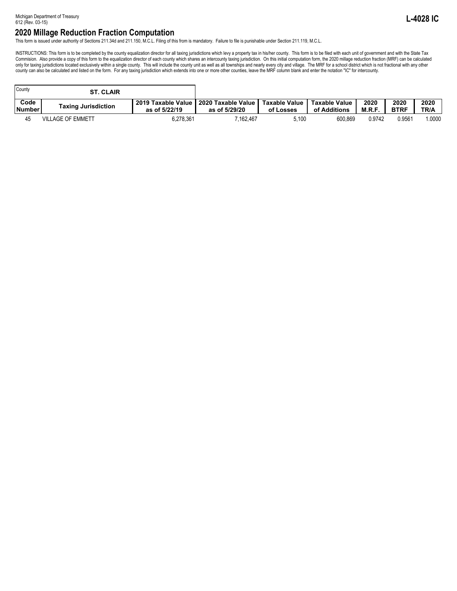This form is issued under authority of Sections 211.34d and 211.150, M.C.L. Filing of this from is mandatory. Failure to file is punishable under Section 211.119, M.C.L.

INSTRUCTIONS: This form is to be completed by the county equalization director for all taxing jurisdictions which levy a property tax in his/her county. This form is to be filed with each unit of government and with the St only for taxing jurisdictions located exclusively within a single county. This will include the county unit as well as all townships and nearly every city and village. The MRF for a school district which is not fractional county can also be calculated and listed on the form. For any taxing jurisdiction which extends into one or more other counties, leave the MRF column blank and enter the notation "IC" for intercounty.

| County                | <b>ST. CLAIR</b>           |                                       |                                     |                            |                               |               |                                    |              |
|-----------------------|----------------------------|---------------------------------------|-------------------------------------|----------------------------|-------------------------------|---------------|------------------------------------|--------------|
| Code<br><b>Number</b> | <b>Taxing Jurisdiction</b> | 2019 Taxable Value I<br>as of 5/22/19 | 2020 Taxable Value<br>as of 5/29/20 | Taxable Value<br>of Losses | Taxable Value<br>of Additions | 2020<br>M.R.F | 2020<br><b>BTRF</b>                | 2020<br>TR/A |
|                       | <b>VILLAGE OF EMMETT</b>   | 6,278,361                             | 162.467.'                           | 5.100                      | 600.869                       | 0.9742        | $0.956^{\scriptscriptstyle\prime}$ | 1.0000       |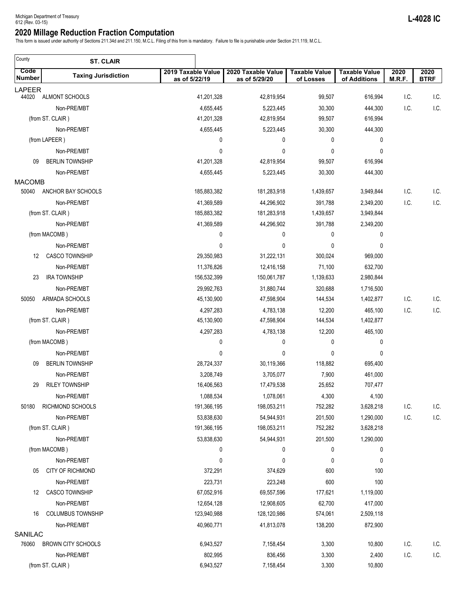This form is issued under authority of Sections 211.34d and 211.150, M.C.L. Filing of this from is mandatory. Failure to file is punishable under Section 211.119, M.C.L.

 $\overline{\phantom{0}}$ 

| County         | <b>ST. CLAIR</b>           |                                     |                                     |                                   |                                      |                |                     |
|----------------|----------------------------|-------------------------------------|-------------------------------------|-----------------------------------|--------------------------------------|----------------|---------------------|
| Code<br>Number | <b>Taxing Jurisdiction</b> | 2019 Taxable Value<br>as of 5/22/19 | 2020 Taxable Value<br>as of 5/29/20 | <b>Taxable Value</b><br>of Losses | <b>Taxable Value</b><br>of Additions | 2020<br>M.R.F. | 2020<br><b>BTRF</b> |
| <b>LAPEER</b>  |                            |                                     |                                     |                                   |                                      |                |                     |
| 44020          | ALMONT SCHOOLS             | 41,201,328                          | 42,819,954                          | 99,507                            | 616,994                              | I.C.           | I.C                 |
|                | Non-PRE/MBT                | 4,655,445                           | 5,223,445                           | 30,300                            | 444,300                              | I.C.           | I.C.                |
|                | (from ST. CLAIR)           | 41,201,328                          | 42,819,954                          | 99,507                            | 616,994                              |                |                     |
|                | Non-PRE/MBT                | 4,655,445                           | 5,223,445                           | 30,300                            | 444,300                              |                |                     |
|                | (from LAPEER)              | 0                                   | 0                                   | 0                                 | 0                                    |                |                     |
|                | Non-PRE/MBT                | 0                                   | $\mathbf 0$                         | $\mathbf 0$                       | 0                                    |                |                     |
| 09             | <b>BERLIN TOWNSHIP</b>     | 41,201,328                          | 42,819,954                          | 99,507                            | 616,994                              |                |                     |
| <b>MACOMB</b>  | Non-PRE/MBT                | 4,655,445                           | 5,223,445                           | 30,300                            | 444,300                              |                |                     |
| 50040          | ANCHOR BAY SCHOOLS         | 185,883,382                         | 181,283,918                         | 1,439,657                         | 3,949,844                            | I.C.           | I.C.                |
|                | Non-PRE/MBT                | 41,369,589                          | 44,296,902                          | 391,788                           | 2,349,200                            | I.C.           | I.C.                |
|                | (from ST. CLAIR)           | 185,883,382                         | 181,283,918                         | 1,439,657                         | 3,949,844                            |                |                     |
|                | Non-PRE/MBT                | 41,369,589                          | 44,296,902                          | 391,788                           | 2,349,200                            |                |                     |
|                | (from MACOMB)              | 0                                   | 0                                   | 0                                 | 0                                    |                |                     |
|                | Non-PRE/MBT                | 0                                   | 0                                   | $\mathbf 0$                       | 0                                    |                |                     |
| 12             | <b>CASCO TOWNSHIP</b>      | 29,350,983                          | 31,222,131                          | 300,024                           | 969,000                              |                |                     |
|                | Non-PRE/MBT                | 11,376,826                          | 12,416,158                          | 71,100                            | 632,700                              |                |                     |
| 23             | <b>IRA TOWNSHIP</b>        | 156,532,399                         | 150,061,787                         | 1,139,633                         | 2,980,844                            |                |                     |
|                | Non-PRE/MBT                | 29,992,763                          | 31,880,744                          | 320,688                           | 1,716,500                            |                |                     |
| 50050          | ARMADA SCHOOLS             | 45,130,900                          | 47,598,904                          | 144,534                           | 1,402,877                            | I.C.           | I.C.                |
|                | Non-PRE/MBT                | 4,297,283                           | 4,783,138                           | 12,200                            | 465,100                              | I.C.           | I.C.                |
|                | (from ST. CLAIR)           | 45,130,900                          | 47,598,904                          | 144,534                           | 1,402,877                            |                |                     |
|                | Non-PRE/MBT                | 4,297,283                           | 4,783,138                           | 12,200                            | 465,100                              |                |                     |
|                | (from MACOMB)              | 0                                   | 0                                   | 0                                 | 0                                    |                |                     |
|                | Non-PRE/MBT                | 0                                   | 0                                   | $\mathbf 0$                       | 0                                    |                |                     |
| 09             | <b>BERLIN TOWNSHIP</b>     | 28,724,337                          | 30,119,366                          | 118,882                           | 695,400                              |                |                     |
|                | Non-PRE/MBT                | 3,208,749                           | 3,705,077                           | 7,900                             | 461,000                              |                |                     |
| 29             | <b>RILEY TOWNSHIP</b>      | 16,406,563                          | 17,479,538                          | 25,652                            | 707,477                              |                |                     |
|                | Non-PRE/MBT                | 1,088,534                           | 1,078,061                           | 4,300                             | 4,100                                |                |                     |
| 50180          | RICHMOND SCHOOLS           | 191,366,195                         | 198,053,211                         | 752,282                           | 3,628,218                            | I.C.           | I.C.                |
|                | Non-PRE/MBT                | 53,838,630                          | 54,944,931                          | 201,500                           | 1,290,000                            | I.C.           | I.C.                |
|                | (from ST. CLAIR)           | 191,366,195                         | 198,053,211                         | 752,282                           | 3,628,218                            |                |                     |
|                | Non-PRE/MBT                | 53,838,630                          | 54,944,931                          | 201,500                           | 1,290,000                            |                |                     |
|                | (from MACOMB)              | 0                                   | 0                                   | 0                                 | 0                                    |                |                     |
|                | Non-PRE/MBT                | 0                                   | 0                                   | 0                                 | 0                                    |                |                     |
| 05             | CITY OF RICHMOND           | 372,291                             | 374,629                             | 600                               | 100                                  |                |                     |
|                | Non-PRE/MBT                | 223,731                             | 223,248                             | 600                               | 100                                  |                |                     |
| 12             | <b>CASCO TOWNSHIP</b>      | 67,052,916                          | 69,557,596                          | 177,621                           | 1,119,000                            |                |                     |
|                | Non-PRE/MBT                | 12,654,128                          | 12,908,605                          | 62,700                            | 417,000                              |                |                     |
| 16             | <b>COLUMBUS TOWNSHIP</b>   | 123,940,988                         | 128,120,986                         | 574,061                           | 2,509,118                            |                |                     |
|                | Non-PRE/MBT                | 40,960,771                          | 41,813,078                          | 138,200                           | 872,900                              |                |                     |
| SANILAC        |                            |                                     |                                     |                                   |                                      |                |                     |
| 76060          | <b>BROWN CITY SCHOOLS</b>  | 6,943,527                           | 7,158,454                           | 3,300                             | 10,800                               | I.C.           | I.C.                |
|                | Non-PRE/MBT                | 802,995                             | 836,456                             | 3,300                             | 2,400                                | I.C.           | I.C.                |
|                | (from ST. CLAIR)           | 6,943,527                           | 7,158,454                           | 3,300                             | 10,800                               |                |                     |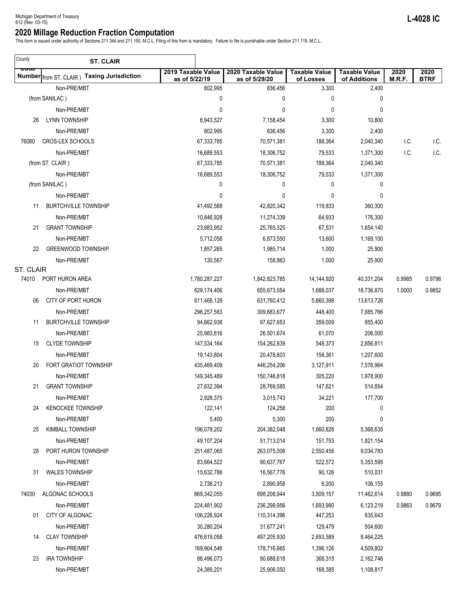This form is issued under authority of Sections 211.34d and 211.150, M.C.L. Filing of this from is mandatory. Failure to file is punishable under Section 211.119, M.C.L.

 $\overline{\phantom{0}}$ 

| County    | <b>ST. CLAIR</b>                            |                                     |                                     |                                   |                                      |                |                     |
|-----------|---------------------------------------------|-------------------------------------|-------------------------------------|-----------------------------------|--------------------------------------|----------------|---------------------|
| ooue      | Number from ST. CLAIR ) Taxing Jurisdiction | 2019 Taxable Value<br>as of 5/22/19 | 2020 Taxable Value<br>as of 5/29/20 | <b>Taxable Value</b><br>of Losses | <b>Taxable Value</b><br>of Additions | 2020<br>M.R.F. | 2020<br><b>BTRF</b> |
|           | Non-PRE/MBT                                 | 802,995                             | 836,456                             | 3,300                             | 2,400                                |                |                     |
|           | (from SANILAC)                              | 0                                   | 0                                   | 0                                 | 0                                    |                |                     |
|           | Non-PRE/MBT                                 | 0                                   | 0                                   | 0                                 | 0                                    |                |                     |
| 26        | <b>LYNN TOWNSHIP</b>                        | 6,943,527                           | 7,158,454                           | 3,300                             | 10,800                               |                |                     |
|           | Non-PRE/MBT                                 | 802,995                             | 836,456                             | 3,300                             | 2,400                                |                |                     |
| 76080     | <b>CROS-LEX SCHOOLS</b>                     | 67,333,785                          | 70,571,381                          | 188,364                           | 2,040,340                            | I.C.           | I.C.                |
|           | Non-PRE/MBT                                 | 16,689,553                          | 18,306,752                          | 79,533                            | 1,371,300                            | I.C.           | I.C.                |
|           | (from ST. CLAIR)                            | 67,333,785                          | 70,571,381                          | 188,364                           | 2,040,340                            |                |                     |
|           | Non-PRE/MBT                                 | 16,689,553                          | 18,306,752                          | 79,533                            | 1,371,300                            |                |                     |
|           | (from SANILAC)                              | 0                                   | 0                                   | 0                                 | 0                                    |                |                     |
|           | Non-PRE/MBT                                 | 0                                   | 0                                   | 0                                 | 0                                    |                |                     |
| 11        | <b>BURTCHVILLE TOWNSHIP</b>                 | 41,492,568                          | 42,820,342                          | 119,833                           | 360,300                              |                |                     |
|           | Non-PRE/MBT                                 | 10,846,928                          | 11,274,339                          | 64,933                            | 176,300                              |                |                     |
| 21        | <b>GRANT TOWNSHIP</b>                       | 23,983,952                          | 25,765,325                          | 67,531                            | 1,654,140                            |                |                     |
|           | Non-PRE/MBT                                 | 5,712,058                           | 6,873,550                           | 13,600                            | 1,169,100                            |                |                     |
| 22        | <b>GREENWOOD TOWNSHIP</b>                   | 1,857,265                           | 1,985,714                           | 1,000                             | 25,900                               |                |                     |
|           | Non-PRE/MBT                                 | 130,567                             | 158,863                             | 1,000                             | 25,900                               |                |                     |
| ST. CLAIR |                                             |                                     |                                     |                                   |                                      |                |                     |
| 74010     | PORT HURON AREA                             | 1,780,287,227                       | 1,842,823,785                       | 14,144,920                        | 40,331,204                           | 0.9985         | 0.9798              |
|           | Non-PRE/MBT                                 | 629,174,406                         | 655,673,554                         | 1,688,037                         | 18,736,870                           | 1.0000         | 0.9852              |
| 06        | CITY OF PORT HURON                          | 611,468,128                         | 631,760,412                         | 5,660,398                         | 13,613,726                           |                |                     |
|           | Non-PRE/MBT                                 | 296,257,583                         | 309,683,677                         | 448,400                           | 7,885,766                            |                |                     |
| 11        | <b>BURTCHVILLE TOWNSHIP</b>                 | 94,662,938                          | 97,627,653                          | 359,009                           | 855,400                              |                |                     |
|           | Non-PRE/MBT                                 | 25,983,816                          | 26,501,674                          | 61,070                            | 206,000                              |                |                     |
| 15        | <b>CLYDE TOWNSHIP</b>                       | 147,534,164                         | 154,262,839                         | 548,373                           | 2,856,811                            |                |                     |
|           | Non-PRE/MBT                                 | 19,143,804                          | 20,478,603                          | 158,361                           | 1,207,600                            |                |                     |
| 20        | FORT GRATIOT TOWNSHIP                       | 435,469,409                         | 446,254,206                         | 3,127,911                         | 7,576,964                            |                |                     |
|           | Non-PRE/MBT                                 | 149,345,489                         | 150,746,818                         | 305,220                           | 1,978,900                            |                |                     |
| 21        | <b>GRANT TOWNSHIP</b>                       | 27,832,394                          | 28,769,585                          | 147,621                           | 514,854                              |                |                     |
|           | Non-PRE/MBT                                 | 2,928,375                           | 3,015,743                           | 34,221                            | 177,700                              |                |                     |
| 24        | <b>KENOCKEE TOWNSHIP</b>                    | 122,141                             | 124,258                             | 200                               | 0                                    |                |                     |
|           | Non-PRE/MBT                                 | 5,400                               | 5,300                               | 200                               | 0                                    |                |                     |
| 25        | <b>KIMBALL TOWNSHIP</b>                     | 196,078,202                         | 204,382,048                         | 1,660,826                         | 5,368,635                            |                |                     |
|           | Non-PRE/MBT                                 | 49,107,204                          | 51,713,014                          | 151,793                           | 1,821,154                            |                |                     |
| 28        | PORT HURON TOWNSHIP                         | 251,487,065                         | 263,075,008                         | 2,550,456                         | 9,034,783                            |                |                     |
|           | Non-PRE/MBT                                 | 83,664,522                          | 90,637,767                          | 522,572                           | 5,353,595                            |                |                     |
| 31        | <b>WALES TOWNSHIP</b>                       | 15,632,786                          | 16,567,776                          | 90,126                            | 510,031                              |                |                     |
|           | Non-PRE/MBT                                 | 2,738,213                           | 2,890,958                           | 6,200                             | 106,155                              |                |                     |
| 74030     | ALGONAC SCHOOLS                             | 669,342,055                         | 698,208,944                         | 3,509,157                         | 11,462,614                           | 0.9880         | 0.9695              |
|           | Non-PRE/MBT                                 | 224,481,902                         | 236,299,956                         | 1,693,990                         | 6,123,219                            | 0.9863         | 0.9679              |
| 01        | CITY OF ALGONAC                             | 106,226,924                         | 110,314,396                         | 447,253                           | 835,643                              |                |                     |
|           | Non-PRE/MBT                                 | 30,280,204                          | 31,677,241                          | 129,479                           | 504,600                              |                |                     |
| 14        | <b>CLAY TOWNSHIP</b>                        | 476,619,058                         | 497,205,930                         | 2,693,589                         | 8,464,225                            |                |                     |
|           | Non-PRE/MBT                                 | 169,904,546                         | 178,716,665                         | 1,396,126                         | 4,509,802                            |                |                     |
| 23        | <b>IRA TOWNSHIP</b>                         | 86,496,073                          | 90,688,618                          | 368,315                           | 2,162,746                            |                |                     |
|           | Non-PRE/MBT                                 | 24,389,201                          | 25,906,050                          | 168,385                           | 1,108,817                            |                |                     |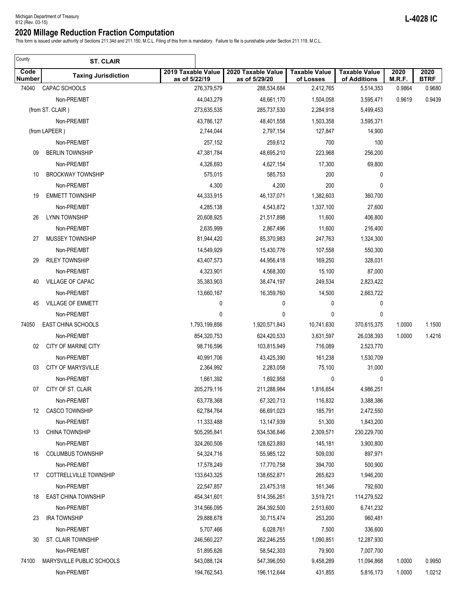This form is issued under authority of Sections 211.34d and 211.150, M.C.L. Filing of this from is mandatory. Failure to file is punishable under Section 211.119, M.C.L.

| County         | <b>ST. CLAIR</b>           |                                     |                                     |                                   |                                      |                |                     |
|----------------|----------------------------|-------------------------------------|-------------------------------------|-----------------------------------|--------------------------------------|----------------|---------------------|
| Code<br>Number | <b>Taxing Jurisdiction</b> | 2019 Taxable Value<br>as of 5/22/19 | 2020 Taxable Value<br>as of 5/29/20 | <b>Taxable Value</b><br>of Losses | <b>Taxable Value</b><br>of Additions | 2020<br>M.R.F. | 2020<br><b>BTRF</b> |
| 74040          | CAPAC SCHOOLS              | 276,379,579                         | 288,534,684                         | 2,412,765                         | 5,514,353                            | 0.9864         | 0.9680              |
|                | Non-PRE/MBT                | 44,043,279                          | 48,661,170                          | 1,504,058                         | 3,595,471                            | 0.9619         | 0.9439              |
|                | (from ST. CLAIR)           | 273,635,535                         | 285,737,530                         | 2,284,918                         | 5,499,453                            |                |                     |
|                | Non-PRE/MBT                | 43,786,127                          | 48,401,558                          | 1,503,358                         | 3,595,371                            |                |                     |
|                | (from LAPEER)              | 2,744,044                           | 2,797,154                           | 127,847                           | 14,900                               |                |                     |
|                | Non-PRE/MBT                | 257,152                             | 259,612                             | 700                               | 100                                  |                |                     |
| 09             | <b>BERLIN TOWNSHIP</b>     | 47,381,784                          | 48,695,210                          | 223,968                           | 256,200                              |                |                     |
|                | Non-PRE/MBT                | 4,326,693                           | 4,627,154                           | 17,300                            | 69,800                               |                |                     |
| 10             | <b>BROCKWAY TOWNSHIP</b>   | 575,015                             | 585,753                             | 200                               | 0                                    |                |                     |
|                | Non-PRE/MBT                | 4,300                               | 4,200                               | 200                               | 0                                    |                |                     |
| 19             | <b>EMMETT TOWNSHIP</b>     | 44,333,915                          | 46,137,071                          | 1,382,603                         | 360,700                              |                |                     |
|                | Non-PRE/MBT                | 4,285,138                           | 4,543,872                           | 1,337,100                         | 27,600                               |                |                     |
| 26             | LYNN TOWNSHIP              | 20,608,925                          | 21,517,898                          | 11,600                            | 406,800                              |                |                     |
|                | Non-PRE/MBT                | 2,635,999                           | 2,867,496                           | 11,600                            | 216,400                              |                |                     |
| 27             | MUSSEY TOWNSHIP            | 81,944,420                          | 85,370,983                          | 247,763                           | 1,324,300                            |                |                     |
|                | Non-PRE/MBT                | 14,549,929                          | 15,430,776                          | 107,558                           | 550,300                              |                |                     |
| 29             | <b>RILEY TOWNSHIP</b>      | 43,407,573                          | 44,956,418                          | 169,250                           | 328,031                              |                |                     |
|                | Non-PRE/MBT                | 4,323,901                           | 4,568,300                           | 15,100                            | 87,000                               |                |                     |
| 40             | VILLAGE OF CAPAC           | 35,383,903                          | 38,474,197                          | 249,534                           | 2,823,422                            |                |                     |
|                | Non-PRE/MBT                | 13,660,167                          | 16,359,760                          | 14,500                            | 2,663,722                            |                |                     |
| 45             | <b>VILLAGE OF EMMETT</b>   | 0                                   | 0                                   | 0                                 | 0                                    |                |                     |
|                | Non-PRE/MBT                | 0                                   | 0                                   | 0                                 | 0                                    |                |                     |
| 74050          | <b>EAST CHINA SCHOOLS</b>  | 1,793,199,856                       | 1,920,571,843                       | 10,741,630                        | 370,615,375                          | 1.0000         | 1.1500              |
|                | Non-PRE/MBT                | 854,320,753                         | 624,420,533                         | 3,631,597                         | 26,038,393                           | 1.0000         | 1.4216              |
| 02             | <b>CITY OF MARINE CITY</b> | 98,716,596                          | 103,815,949                         | 716,089                           | 2,523,770                            |                |                     |
|                | Non-PRE/MBT                | 40,991,706                          | 43,425,390                          | 161,238                           | 1,530,709                            |                |                     |
| 03             | <b>CITY OF MARYSVILLE</b>  | 2,364,992                           | 2,283,058                           | 75,100                            | 31,000                               |                |                     |
|                | Non-PRE/MBT                | 1,661,392                           | 1,692,958                           | 0                                 | 0                                    |                |                     |
| 07             | CITY OF ST. CLAIR          | 205,279,116                         | 211,288,984                         | 1,816,654                         | 4,986,251                            |                |                     |
|                | Non-PRE/MBT                | 63,778,368                          | 67,320,713                          | 116,832                           | 3,388,386                            |                |                     |
| 12             | <b>CASCO TOWNSHIP</b>      | 62,784,764                          | 66,691,023                          | 185,791                           | 2,472,550                            |                |                     |
|                | Non-PRE/MBT                | 11,333,488                          | 13,147,939                          | 51,300                            | 1,843,200                            |                |                     |
| 13             | <b>CHINA TOWNSHIP</b>      | 505,295,841                         | 534,536,846                         | 2,309,571                         | 230,229,700                          |                |                     |
|                | Non-PRE/MBT                | 324,260,506                         | 128,623,893                         | 145,181                           | 3,900,800                            |                |                     |
| 16             | <b>COLUMBUS TOWNSHIP</b>   | 54,324,716                          | 55,985,122                          | 509,030                           | 897,971                              |                |                     |
|                | Non-PRE/MBT                | 17,578,249                          | 17,770,758                          | 394,700                           | 500,900                              |                |                     |
| 17             | COTTRELLVILLE TOWNSHIP     | 133,643,325                         | 138,652,871                         | 265,623                           | 1,946,200                            |                |                     |
|                | Non-PRE/MBT                | 22,547,857                          | 23,475,318                          | 161,346                           | 792,600                              |                |                     |
| 18             | <b>EAST CHINA TOWNSHIP</b> | 454,341,601                         | 514,356,261                         | 3,519,721                         | 114,279,522                          |                |                     |
|                | Non-PRE/MBT                | 314,566,095                         | 264,392,500                         | 2,513,600                         | 6,741,232                            |                |                     |
| 23             | <b>IRA TOWNSHIP</b>        | 29,888,678                          | 30,715,474                          | 253,200                           | 960,481                              |                |                     |
|                | Non-PRE/MBT                | 5,707,466                           | 6,028,761                           | 7,500                             | 336,600                              |                |                     |
| 30             | ST. CLAIR TOWNSHIP         | 246,560,227                         | 262,246,255                         | 1,090,851                         | 12,287,930                           |                |                     |
|                | Non-PRE/MBT                | 51,895,626                          | 58,542,303                          | 79,900                            | 7,007,700                            |                |                     |
| 74100          | MARYSVILLE PUBLIC SCHOOLS  | 543,088,124                         | 547,396,050                         | 9,458,289                         | 11,094,868                           | 1.0000         | 0.9950              |
|                | Non-PRE/MBT                | 194,762,543                         | 196,112,644                         | 431,855                           | 5,816,173                            | 1.0000         | 1.0212              |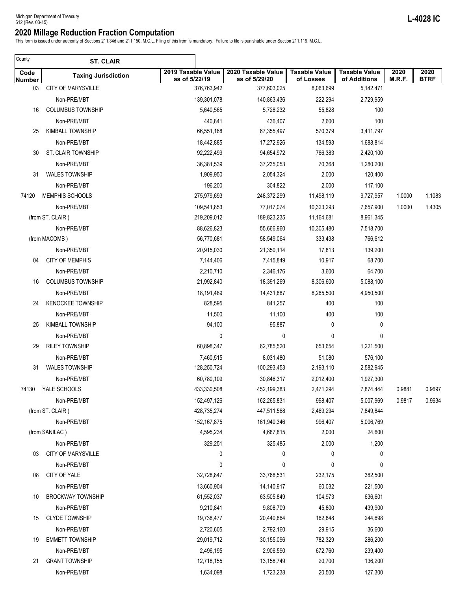This form is issued under authority of Sections 211.34d and 211.150, M.C.L. Filing of this from is mandatory. Failure to file is punishable under Section 211.119, M.C.L.

| County         | <b>ST. CLAIR</b>           |                                     |                                     |                                   |                                      |                |                     |
|----------------|----------------------------|-------------------------------------|-------------------------------------|-----------------------------------|--------------------------------------|----------------|---------------------|
| Code<br>Number | <b>Taxing Jurisdiction</b> | 2019 Taxable Value<br>as of 5/22/19 | 2020 Taxable Value<br>as of 5/29/20 | <b>Taxable Value</b><br>of Losses | <b>Taxable Value</b><br>of Additions | 2020<br>M.R.F. | 2020<br><b>BTRF</b> |
| 03             | <b>CITY OF MARYSVILLE</b>  | 376,763,942                         | 377,603,025                         | 8,063,699                         | 5,142,471                            |                |                     |
|                | Non-PRE/MBT                | 139,301,078                         | 140,863,436                         | 222,294                           | 2,729,959                            |                |                     |
| 16             | <b>COLUMBUS TOWNSHIP</b>   | 5,640,565                           | 5,728,232                           | 55,828                            | 100                                  |                |                     |
|                | Non-PRE/MBT                | 440,841                             | 436,407                             | 2,600                             | 100                                  |                |                     |
| 25             | <b>KIMBALL TOWNSHIP</b>    | 66,551,168                          | 67,355,497                          | 570,379                           | 3,411,797                            |                |                     |
|                | Non-PRE/MBT                | 18,442,885                          | 17,272,926                          | 134,593                           | 1,688,814                            |                |                     |
| 30             | <b>ST. CLAIR TOWNSHIP</b>  | 92,222,499                          | 94,654,972                          | 766,383                           | 2,420,100                            |                |                     |
|                | Non-PRE/MBT                | 36,381,539                          | 37,235,053                          | 70,368                            | 1,280,200                            |                |                     |
| 31             | <b>WALES TOWNSHIP</b>      | 1,909,950                           | 2,054,324                           | 2,000                             | 120,400                              |                |                     |
|                | Non-PRE/MBT                | 196,200                             | 304,822                             | 2,000                             | 117,100                              |                |                     |
| 74120          | MEMPHIS SCHOOLS            | 275,979,693                         | 248,372,299                         | 11,498,119                        | 9,727,957                            | 1.0000         | 1.1083              |
|                | Non-PRE/MBT                | 109,541,853                         | 77,017,074                          | 10,323,293                        | 7,657,900                            | 1.0000         | 1.4305              |
|                | (from ST. CLAIR)           | 219,209,012                         | 189,823,235                         | 11,164,681                        | 8,961,345                            |                |                     |
|                | Non-PRE/MBT                | 88,626,823                          | 55,666,960                          | 10,305,480                        | 7,518,700                            |                |                     |
|                | (from MACOMB)              | 56,770,681                          | 58,549,064                          | 333,438                           | 766,612                              |                |                     |
|                | Non-PRE/MBT                | 20,915,030                          | 21,350,114                          | 17,813                            | 139,200                              |                |                     |
| 04             | <b>CITY OF MEMPHIS</b>     | 7,144,406                           | 7,415,849                           | 10,917                            | 68,700                               |                |                     |
|                | Non-PRE/MBT                | 2,210,710                           | 2,346,176                           | 3,600                             | 64,700                               |                |                     |
| 16             | <b>COLUMBUS TOWNSHIP</b>   | 21,992,840                          | 18,391,269                          | 8,306,600                         | 5,088,100                            |                |                     |
|                | Non-PRE/MBT                | 18,191,489                          | 14,431,887                          | 8,265,500                         | 4,950,500                            |                |                     |
| 24             | <b>KENOCKEE TOWNSHIP</b>   | 828,595                             | 841,257                             | 400                               | 100                                  |                |                     |
|                | Non-PRE/MBT                | 11,500                              | 11,100                              | 400                               | 100                                  |                |                     |
| 25             | <b>KIMBALL TOWNSHIP</b>    | 94,100                              | 95,887                              | 0                                 | 0                                    |                |                     |
|                | Non-PRE/MBT                | 0                                   | 0                                   | 0                                 | 0                                    |                |                     |
| 29             | <b>RILEY TOWNSHIP</b>      | 60,898,347                          | 62,785,520                          | 653,654                           | 1,221,500                            |                |                     |
|                | Non-PRE/MBT                | 7,460,515                           | 8,031,480                           | 51,080                            | 576,100                              |                |                     |
| 31             | <b>WALES TOWNSHIP</b>      | 128,250,724                         | 100,293,453                         | 2,193,110                         | 2,582,945                            |                |                     |
|                | Non-PRE/MBT                | 60,780,109                          | 30,846,317                          | 2,012,400                         | 1,927,300                            |                |                     |
| 74130          | YALE SCHOOLS               | 433,330,508                         | 452,199,383                         | 2,471,294                         | 7,874,444                            | 0.9881         | 0.9697              |
|                | Non-PRE/MBT                | 152,497,126                         | 162,265,831                         | 998,407                           | 5,007,969                            | 0.9817         | 0.9634              |
|                | (from ST. CLAIR)           | 428,735,274                         | 447,511,568                         | 2,469,294                         | 7,849,844                            |                |                     |
|                | Non-PRE/MBT                | 152, 167, 875                       | 161,940,346                         | 996,407                           | 5,006,769                            |                |                     |
|                | (from SANILAC)             | 4,595,234                           | 4,687,815                           | 2,000                             | 24,600                               |                |                     |
|                | Non-PRE/MBT                | 329,251                             | 325,485                             | 2,000                             | 1,200                                |                |                     |
| 03             | <b>CITY OF MARYSVILLE</b>  | 0                                   | 0                                   | 0                                 | 0                                    |                |                     |
|                | Non-PRE/MBT                | 0                                   | 0                                   | 0                                 | 0                                    |                |                     |
| 08             | CITY OF YALE               | 32,728,847                          | 33,768,531                          | 232,175                           | 382,500                              |                |                     |
|                | Non-PRE/MBT                | 13,660,904                          | 14,140,917                          | 60,032                            | 221,500                              |                |                     |
| 10             | <b>BROCKWAY TOWNSHIP</b>   | 61,552,037                          | 63,505,849                          | 104,973                           | 636,601                              |                |                     |
|                | Non-PRE/MBT                | 9,210,841                           | 9,808,709                           | 45,800                            | 439,900                              |                |                     |
| 15             | <b>CLYDE TOWNSHIP</b>      | 19,738,477                          | 20,440,864                          | 162,848                           | 244,698                              |                |                     |
|                | Non-PRE/MBT                | 2,720,605                           | 2,792,160                           | 29,915                            | 36,600                               |                |                     |
| 19             | <b>EMMETT TOWNSHIP</b>     | 29,019,712                          | 30,155,096                          | 782,329                           | 286,200                              |                |                     |
|                | Non-PRE/MBT                | 2,496,195                           | 2,906,590                           | 672,760                           | 239,400                              |                |                     |
| 21             | <b>GRANT TOWNSHIP</b>      | 12,718,155                          | 13,158,749                          | 20,700                            | 136,200                              |                |                     |
|                | Non-PRE/MBT                | 1,634,098                           | 1,723,238                           | 20,500                            | 127,300                              |                |                     |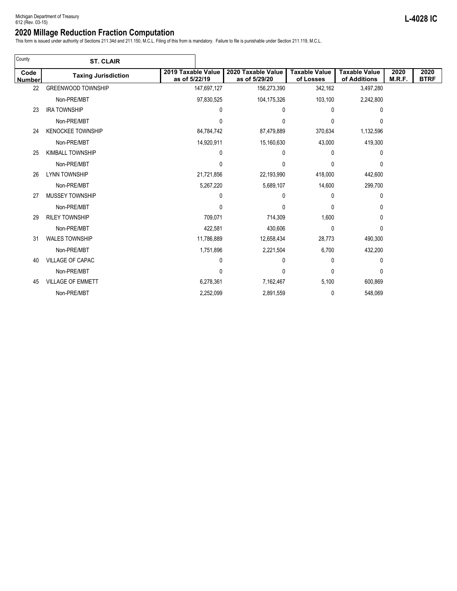This form is issued under authority of Sections 211.34d and 211.150, M.C.L. Filing of this from is mandatory. Failure to file is punishable under Section 211.119, M.C.L.

| County                | <b>ST. CLAIR</b>           |                                     |                                     |                                   |                                      |                |                     |
|-----------------------|----------------------------|-------------------------------------|-------------------------------------|-----------------------------------|--------------------------------------|----------------|---------------------|
| Code<br><b>Number</b> | <b>Taxing Jurisdiction</b> | 2019 Taxable Value<br>as of 5/22/19 | 2020 Taxable Value<br>as of 5/29/20 | <b>Taxable Value</b><br>of Losses | <b>Taxable Value</b><br>of Additions | 2020<br>M.R.F. | 2020<br><b>BTRF</b> |
| 22                    | <b>GREENWOOD TOWNSHIP</b>  | 147,697,127                         | 156,273,390                         | 342,162                           | 3,497,280                            |                |                     |
|                       | Non-PRE/MBT                | 97,830,525                          | 104,175,326                         | 103,100                           | 2,242,800                            |                |                     |
| 23                    | <b>IRA TOWNSHIP</b>        | 0                                   | 0                                   | 0                                 | $\Omega$                             |                |                     |
|                       | Non-PRE/MBT                | 0                                   | 0                                   | 0                                 | $\Omega$                             |                |                     |
| 24                    | <b>KENOCKEE TOWNSHIP</b>   | 84,784,742                          | 87,479,889                          | 370,634                           | 1,132,596                            |                |                     |
|                       | Non-PRE/MBT                | 14,920,911                          | 15,160,630                          | 43,000                            | 419,300                              |                |                     |
| 25                    | <b>KIMBALL TOWNSHIP</b>    | 0                                   | 0                                   | 0                                 | 0                                    |                |                     |
|                       | Non-PRE/MBT                | 0                                   | 0                                   | 0                                 | 0                                    |                |                     |
| 26                    | <b>LYNN TOWNSHIP</b>       | 21,721,856                          | 22,193,990                          | 418,000                           | 442,600                              |                |                     |
|                       | Non-PRE/MBT                | 5,267,220                           | 5,689,107                           | 14,600                            | 299,700                              |                |                     |
| 27                    | <b>MUSSEY TOWNSHIP</b>     | 0                                   | 0                                   | 0                                 | 0                                    |                |                     |
|                       | Non-PRE/MBT                | 0                                   | 0                                   | 0                                 | 0                                    |                |                     |
| 29                    | <b>RILEY TOWNSHIP</b>      | 709,071                             | 714,309                             | 1,600                             | 0                                    |                |                     |
|                       | Non-PRE/MBT                | 422,581                             | 430,606                             | $\mathbf{0}$                      | $\Omega$                             |                |                     |
| 31                    | <b>WALES TOWNSHIP</b>      | 11,786,889                          | 12,658,434                          | 28,773                            | 490,300                              |                |                     |
|                       | Non-PRE/MBT                | 1,751,896                           | 2,221,504                           | 6,700                             | 432,200                              |                |                     |
| 40                    | <b>VILLAGE OF CAPAC</b>    | 0                                   | 0                                   | 0                                 | 0                                    |                |                     |
|                       | Non-PRE/MBT                | 0                                   | 0                                   | 0                                 | $\Omega$                             |                |                     |
| 45                    | <b>VILLAGE OF EMMETT</b>   | 6,278,361                           | 7,162,467                           | 5,100                             | 600,869                              |                |                     |
|                       | Non-PRE/MBT                | 2,252,099                           | 2,891,559                           | 0                                 | 548,069                              |                |                     |
|                       |                            |                                     |                                     |                                   |                                      |                |                     |